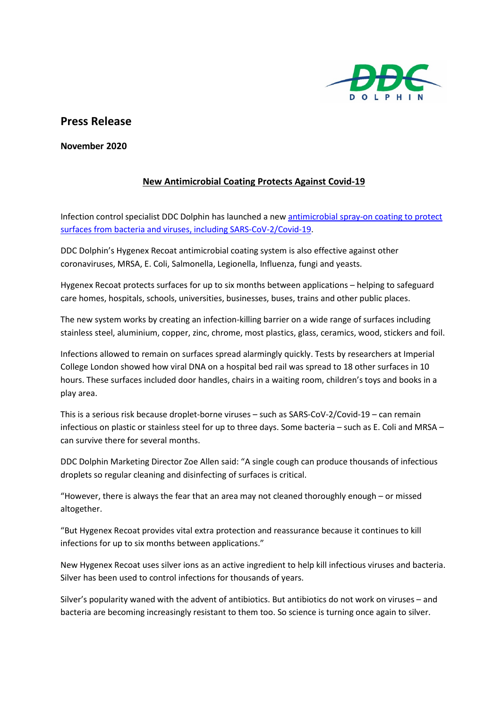

## **Press Release**

**November 2020** 

## **New Antimicrobial Coating Protects Against Covid-19**

Infection control specialist DDC Dolphin has launched a ne[w antimicrobial spray-on coating to protect](https://www.ddcdolphin.com/products/hygenex-products/antimicrobial-protection)  surfaces from bacteria [and viruses, including SARS-CoV-2/Covid-19.](https://www.ddcdolphin.com/products/hygenex-products/antimicrobial-protection)

DDC Dolphin's Hygenex Recoat antimicrobial coating system is also effective against other coronaviruses, MRSA, E. Coli, Salmonella, Legionella, Influenza, fungi and yeasts.

Hygenex Recoat protects surfaces for up to six months between applications – helping to safeguard care homes, hospitals, schools, universities, businesses, buses, trains and other public places.

The new system works by creating an infection-killing barrier on a wide range of surfaces including stainless steel, aluminium, copper, zinc, chrome, most plastics, glass, ceramics, wood, stickers and foil.

Infections allowed to remain on surfaces spread alarmingly quickly. Tests by researchers at Imperial College London showed how viral DNA on a hospital bed rail was spread to 18 other surfaces in 10 hours. These surfaces included door handles, chairs in a waiting room, children's toys and books in a play area.

This is a serious risk because droplet-borne viruses – such as SARS-CoV-2/Covid-19 – can remain infectious on plastic or stainless steel for up to three days. Some bacteria – such as E. Coli and MRSA – can survive there for several months.

DDC Dolphin Marketing Director Zoe Allen said: "A single cough can produce thousands of infectious droplets so regular cleaning and disinfecting of surfaces is critical.

"However, there is always the fear that an area may not cleaned thoroughly enough – or missed altogether.

"But Hygenex Recoat provides vital extra protection and reassurance because it continues to kill infections for up to six months between applications."

New Hygenex Recoat uses silver ions as an active ingredient to help kill infectious viruses and bacteria. Silver has been used to control infections for thousands of years.

Silver's popularity waned with the advent of antibiotics. But antibiotics do not work on viruses – and bacteria are becoming increasingly resistant to them too. So science is turning once again to silver.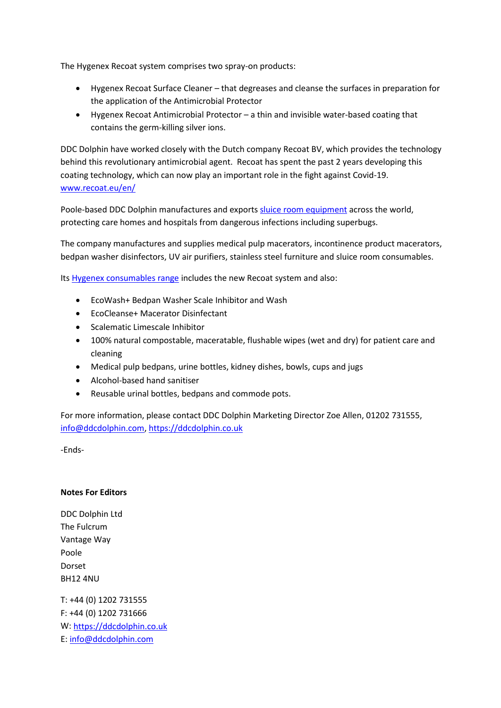The Hygenex Recoat system comprises two spray-on products:

- Hygenex Recoat Surface Cleaner that degreases and cleanse the surfaces in preparation for the application of the Antimicrobial Protector
- Hygenex Recoat Antimicrobial Protector a thin and invisible water-based coating that contains the germ-killing silver ions.

DDC Dolphin have worked closely with the Dutch company Recoat BV, which provides the technology behind this revolutionary antimicrobial agent. Recoat has spent the past 2 years developing this coating technology, which can now play an important role in the fight against Covid-19. [www.recoat.eu/en/](http://www.recoat.eu/en/)

Poole-based DDC Dolphin manufactures and exports [sluice room equipment](https://www.ddcdolphin.com/sluice-room-solutions) across the world, protecting care homes and hospitals from dangerous infections including superbugs.

The company manufactures and supplies medical pulp macerators, incontinence product macerators, bedpan washer disinfectors, UV air purifiers, stainless steel furniture and sluice room consumables.

Its [Hygenex consumables range](https://www.ddcdolphin.com/products/Hygenex-Products) includes the new Recoat system and also:

- EcoWash+ Bedpan Washer Scale Inhibitor and Wash
- EcoCleanse+ Macerator Disinfectant
- Scalematic Limescale Inhibitor
- 100% natural compostable, maceratable, flushable wipes (wet and dry) for patient care and cleaning
- Medical pulp bedpans, urine bottles, kidney dishes, bowls, cups and jugs
- Alcohol-based hand sanitiser
- Reusable urinal bottles, bedpans and commode pots.

For more information, please contact DDC Dolphin Marketing Director Zoe Allen, 01202 731555, [info@ddcdolphin.com,](mailto:info@ddcdolphin.com) [https://ddcdolphin.co.uk](https://ddcdolphin.co.uk/)

-Ends-

## **Notes For Editors**

DDC Dolphin Ltd The Fulcrum Vantage Way Poole Dorset BH12 4NU

T: +44 (0) 1202 731555 F: +44 (0) 1202 731666 W: [https://ddcdolphin.co.uk](https://ddcdolphin.co.uk/) E: [info@ddcdolphin.com](mailto:info@ddcdolphin.com)